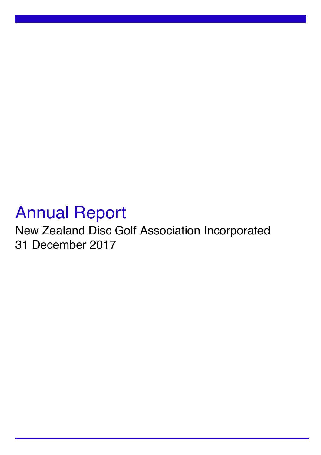# Annual Report

New Zealand Disc Golf Association Incorporated 31 December 2017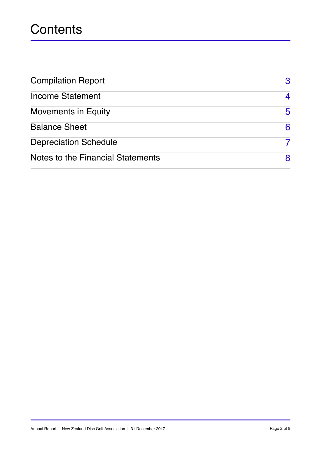## **Contents**

| <b>Compilation Report</b>         | 3 |
|-----------------------------------|---|
| <b>Income Statement</b>           | 4 |
| <b>Movements in Equity</b>        | 5 |
| <b>Balance Sheet</b>              | 6 |
| <b>Depreciation Schedule</b>      |   |
| Notes to the Financial Statements | 8 |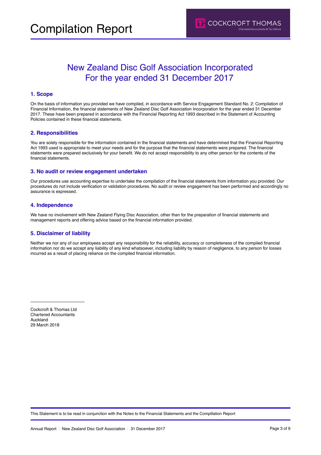## New Zealand Disc Golf Association Incorporated For the year ended 31 December 2017

#### **1. Scope**

On the basis of information you provided we have compiled, in accordance with Service Engagement Standard No. 2: Compilation of Financial Information, the financial statements of New Zealand Disc Golf Association Incorporation for the year ended 31 December 2017. These have been prepared in accordance with the Financial Reporting Act 1993 described in the Statement of Accounting Policies contained in these financial statements.

#### **2. Responsibilities**

You are solely responsible for the information contained in the financial statements and have determined that the Financial Reporting Act 1993 used is appropriate to meet your needs and for the purpose that the financial statements were prepared. The financial statements were prepared exclusively for your benefit. We do not accept responsibility to any other person for the contents of the financial statements.

#### **3. No audit or review engagement undertaken**

Our procedures use accounting expertise to undertake the compilation of the financial statements from information you provided. Our procedures do not include verification or validation procedures. No audit or review engagement has been performed and accordingly no assurance is expressed.

#### **4. Independence**

We have no involvement with New Zealand Flying Disc Association, other than for the preparation of financial statements and management reports and offering advice based on the financial information provided.

#### **5. Disclaimer of liability**

Neither we nor any of our employees accept any responsibility for the reliability, accuracy or completeness of the compiled financial information nor do we accept any liability of any kind whatsoever, including liability by reason of negligence, to any person for losses incurred as a result of placing reliance on the compiled financial information.

Cockcroft & Thomas Ltd Chartered Accountants Auckland 29 March 2018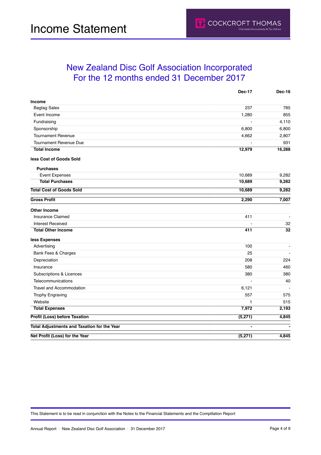|                                                    | Dec-17         | <b>Dec-16</b>  |
|----------------------------------------------------|----------------|----------------|
| Income                                             |                |                |
| <b>Bagtag Sales</b>                                | 237            | 785            |
| Event Income                                       | 1,280          | 855            |
| Fundraising                                        |                | 4,110          |
| Sponsorship                                        | 6,800          | 6,800          |
| <b>Tournament Revenue</b>                          | 4,662          | 2,807          |
| <b>Tournament Revenue Due</b>                      |                | 931            |
| <b>Total Income</b>                                | 12,979         | 16,288         |
| less Cost of Goods Sold                            |                |                |
| <b>Purchases</b>                                   |                |                |
| <b>Event Expenses</b>                              | 10,689         | 9,282          |
| <b>Total Purchases</b>                             | 10,689         | 9,282          |
| <b>Total Cost of Goods Sold</b>                    | 10,689         | 9,282          |
| <b>Gross Profit</b>                                | 2,290          | 7,007          |
| <b>Other Income</b>                                |                |                |
| Insurance Claimed                                  | 411            |                |
| <b>Interest Received</b>                           |                | 32             |
| <b>Total Other Income</b>                          | 411            | 32             |
| less Expenses                                      |                |                |
| Advertising                                        | 100            | $\blacksquare$ |
| Bank Fees & Charges                                | 25             |                |
| Depreciation                                       | 208            | 224            |
| Insurance                                          | 580            | 460            |
| Subscriptions & Licences                           | 380            | 380            |
| Telecommunications                                 |                | 40             |
| <b>Travel and Accommodation</b>                    | 6,121          |                |
| <b>Trophy Engraving</b>                            | 557            | 575            |
| Website                                            | 1              | 515            |
| <b>Total Expenses</b>                              | 7,972          | 2,193          |
| <b>Profit (Loss) before Taxation</b>               | (5, 271)       | 4,845          |
| <b>Total Adjustments and Taxation for the Year</b> | $\overline{a}$ |                |
| Net Profit (Loss) for the Year                     | (5, 271)       | 4,845          |

This Statement is to be read in conjunction with the Notes to the Financial Statements and the Complilation Report

**T.** COCKCROFT THOMAS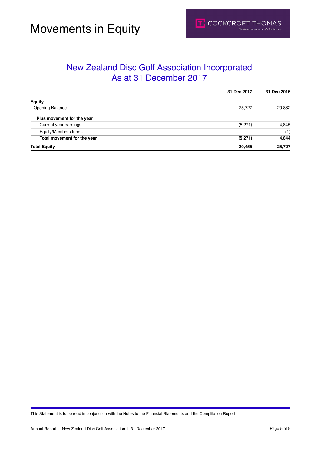### New Zealand Disc Golf Association Incorporated As at 31 December 2017

|                             | 31 Dec 2017              | 31 Dec 2016 |
|-----------------------------|--------------------------|-------------|
| <b>Equity</b>               |                          |             |
| <b>Opening Balance</b>      | 25,727                   | 20,882      |
| Plus movement for the year  |                          |             |
| Current year earnings       | (5,271)                  | 4,845       |
| Equity/Members funds        | $\overline{\phantom{0}}$ | (1)         |
| Total movement for the year | (5,271)                  | 4,844       |
| <b>Total Equity</b>         | 20,455                   | 25,727      |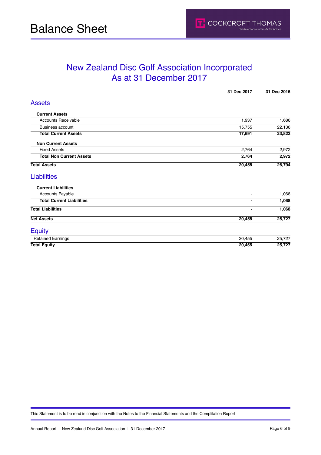### New Zealand Disc Golf Association Incorporated As at 31 December 2017

| <b>Assets</b><br><b>Current Assets</b><br><b>Accounts Receivable</b><br>1,937 | 1,686<br>22,136 |
|-------------------------------------------------------------------------------|-----------------|
|                                                                               |                 |
|                                                                               |                 |
|                                                                               |                 |
| <b>Business account</b><br>15,755                                             |                 |
| <b>Total Current Assets</b><br>17,691                                         | 23,822          |
| <b>Non Current Assets</b>                                                     |                 |
| <b>Fixed Assets</b><br>2,764                                                  | 2,972           |
| <b>Total Non Current Assets</b><br>2,764                                      | 2,972           |
| <b>Total Assets</b><br>20,455                                                 | 26,794          |
| <b>Liabilities</b>                                                            |                 |
| <b>Current Liabilities</b>                                                    |                 |
| <b>Accounts Payable</b><br>$\blacksquare$                                     | 1,068           |
| <b>Total Current Liabilities</b><br>$\blacksquare$                            | 1,068           |
| <b>Total Liabilities</b><br>$\blacksquare$                                    | 1,068           |
| <b>Net Assets</b><br>20,455                                                   | 25,727          |
| <b>Equity</b>                                                                 |                 |
| <b>Retained Earnings</b><br>20,455                                            | 25,727          |
| <b>Total Equity</b><br>20,455                                                 | 25,727          |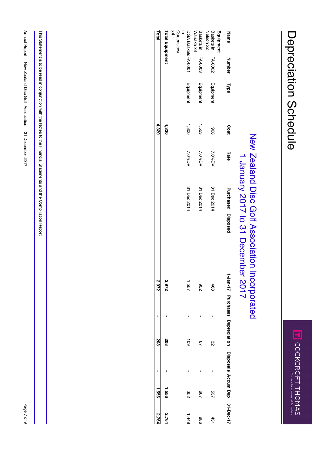## New Zealand Disc Golf Association Incorporatው<br>ቧ  $\overline{\phantom{0}}$ January 2017 to <u>ლ</u> December 2017

| <b>Total</b> |                        | $\times$<br>Queenstowr<br>$\equiv$ |                   | Baskets in<br>Wanaka x3 | Nelson x2<br>Baskets in | Equipment | Name                                                          |
|--------------|------------------------|------------------------------------|-------------------|-------------------------|-------------------------|-----------|---------------------------------------------------------------|
|              | <b>Total Equipment</b> |                                    | DGA BasketsFA-000 |                         |                         |           |                                                               |
|              |                        |                                    |                   | <b>FA-0003</b>          | EA-0002                 |           | Number                                                        |
|              |                        |                                    | Equipment         | Equipment               | Equipment               |           | <b>Type</b>                                                   |
| 4,320        | 4,320                  |                                    | 1,800             | 1,553                   | 896                     |           | Cost                                                          |
|              |                        |                                    | 7.0%DV            | 7.0%DV                  | 7.0%DV                  |           | <b>Rate</b>                                                   |
|              |                        |                                    | 31 Dec 2014       | 31 Dec 2014             | 31 Dec 2014             |           | Purchased Disposed                                            |
| 2'6'2        | 2,972                  |                                    | יפט<br>ג          | 296                     | 463                     |           |                                                               |
|              |                        |                                    |                   |                         |                         |           |                                                               |
|              |                        |                                    |                   |                         |                         |           |                                                               |
| 208          | 208                    |                                    | ā                 | 97                      | జ                       |           | 1-Jan-17 Purchases Depreciation Disposals Accum Dep 31-Dec-17 |
|              |                        |                                    |                   |                         |                         |           |                                                               |
|              |                        |                                    |                   |                         |                         |           |                                                               |
| 1,556        | 1,556                  |                                    | 352               | 287                     | 537                     |           |                                                               |
| 2,764        | 2,764                  |                                    | 1,448             | 988                     | 431                     |           |                                                               |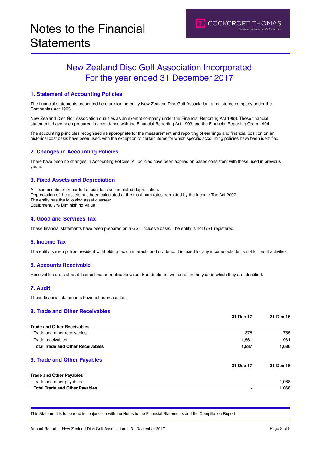## New Zealand Disc Golf Association Incorporated For the year ended 31 December 2017

#### **1. Statement of Accounting Policies**

The financial statements presented here are for the entity New Zealand Disc Golf Association, a registered company under the Companies Act 1993.

New Zealand Disc Golf Association qualifies as an exempt company under the Financial Reporting Act 1993. These financial statements have been prepared in accordance with the Financial Reporting Act 1993 and the Financial Reporting Order 1994.

The accounting principles recognised as appropriate for the measurement and reporting of earnings and financial position on an historical cost basis have been used, with the exception of certain items for which specific accounting policies have been identified.

#### **2. Changes in Accounting Policies**

There have been no changes in Accounting Policies. All policies have been applied on bases consistent with those used in previous years.

#### **3. Fixed Assets and Depreciation**

All fixed assets are recorded at cost less accumulated depreciation. Depreciation of the assets has been calculated at the maximum rates permitted by the Income Tax Act 2007. The entity has the following asset classes: Equipment. 7% Diminishing Value

#### **4. Good and Services Tax**

These financial statements have been prepared on a GST inclusive basis. The entity is not GST registered.

#### **5. Income Tax**

The entity is exempt from resident withholding tax on interests and dividend. It is taxed for any income outside its not for profit activities.

#### **6. Accounts Receivable**

Receivables are stated at their estimated realisable value. Bad debts are written off in the year in which they are identified.

#### **7. Audit**

These financial statements have not been audited.

#### **8. Trade and Other Receivables**

|                                          | 31-Dec-17 | 31-Dec-16 |
|------------------------------------------|-----------|-----------|
| <b>Trade and Other Receivables</b>       |           |           |
| Trade and other receivables              | 376       | 755       |
| Trade receivables                        | 1,561     | 931       |
| <b>Total Trade and Other Receivables</b> | 1,937     | 1,686     |
| 9. Trade and Other Payables              |           |           |
|                                          | 31-Dec-17 | 31-Dec-16 |
| <b>Trade and Other Payables</b>          |           |           |
| Trade and other payables                 | -         | 1,068     |
| <b>Total Trade and Other Payables</b>    | -         | 1,068     |